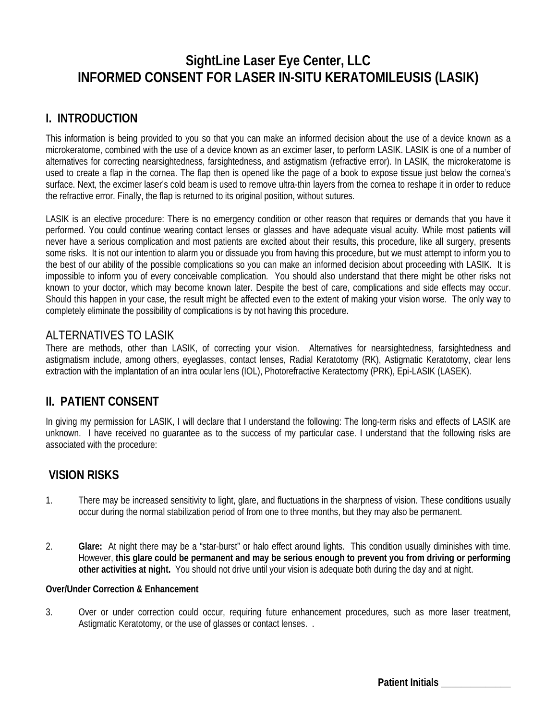# **SightLine Laser Eye Center, LLC INFORMED CONSENT FOR LASER IN-SITU KERATOMILEUSIS (LASIK)**

# **I. INTRODUCTION**

This information is being provided to you so that you can make an informed decision about the use of a device known as a microkeratome, combined with the use of a device known as an excimer laser, to perform LASIK. LASIK is one of a number of alternatives for correcting nearsightedness, farsightedness, and astigmatism (refractive error). In LASIK, the microkeratome is used to create a flap in the cornea. The flap then is opened like the page of a book to expose tissue just below the cornea's surface. Next, the excimer laser's cold beam is used to remove ultra-thin layers from the cornea to reshape it in order to reduce the refractive error. Finally, the flap is returned to its original position, without sutures.

LASIK is an elective procedure: There is no emergency condition or other reason that requires or demands that you have it performed. You could continue wearing contact lenses or glasses and have adequate visual acuity. While most patients will never have a serious complication and most patients are excited about their results, this procedure, like all surgery, presents some risks. It is not our intention to alarm you or dissuade you from having this procedure, but we must attempt to inform you to the best of our ability of the possible complications so you can make an informed decision about proceeding with LASIK. It is impossible to inform you of every conceivable complication. You should also understand that there might be other risks not known to your doctor, which may become known later. Despite the best of care, complications and side effects may occur. Should this happen in your case, the result might be affected even to the extent of making your vision worse. The only way to completely eliminate the possibility of complications is by not having this procedure.

## ALTERNATIVES TO LASIK

There are methods, other than LASIK, of correcting your vision. Alternatives for nearsightedness, farsightedness and astigmatism include, among others, eyeglasses, contact lenses, Radial Keratotomy (RK), Astigmatic Keratotomy, clear lens extraction with the implantation of an intra ocular lens (IOL), Photorefractive Keratectomy (PRK), Epi-LASIK (LASEK).

# **II. PATIENT CONSENT**

In giving my permission for LASIK, I will declare that I understand the following: The long-term risks and effects of LASIK are unknown. I have received no guarantee as to the success of my particular case. I understand that the following risks are associated with the procedure:

# **VISION RISKS**

- 1. There may be increased sensitivity to light, glare, and fluctuations in the sharpness of vision. These conditions usually occur during the normal stabilization period of from one to three months, but they may also be permanent.
- 2. **Glare:** At night there may be a "star-burst" or halo effect around lights. This condition usually diminishes with time. However, **this glare could be permanent and may be serious enough to prevent you from driving or performing other activities at night.** You should not drive until your vision is adequate both during the day and at night.

#### **Over/Under Correction & Enhancement**

3. Over or under correction could occur, requiring future enhancement procedures, such as more laser treatment, Astigmatic Keratotomy, or the use of glasses or contact lenses. .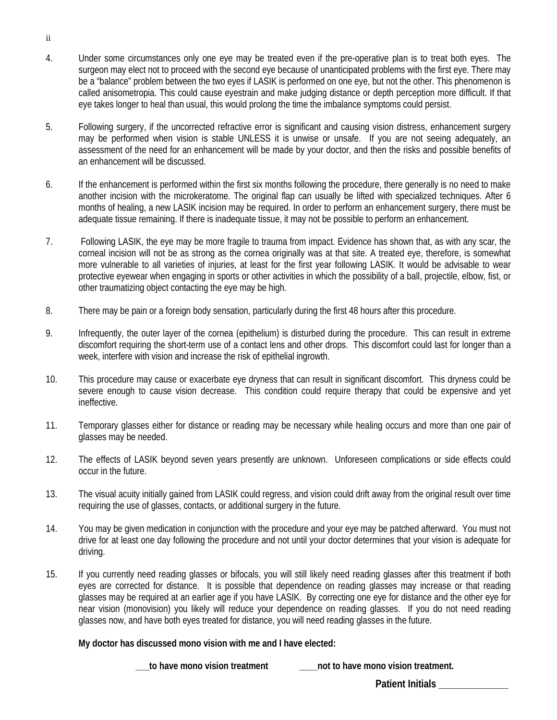- 4. Under some circumstances only one eye may be treated even if the pre-operative plan is to treat both eyes. The surgeon may elect not to proceed with the second eye because of unanticipated problems with the first eye. There may be a "balance" problem between the two eyes if LASIK is performed on one eye, but not the other. This phenomenon is called anisometropia. This could cause eyestrain and make judging distance or depth perception more difficult. If that eye takes longer to heal than usual, this would prolong the time the imbalance symptoms could persist.
- 5. Following surgery, if the uncorrected refractive error is significant and causing vision distress, enhancement surgery may be performed when vision is stable UNLESS it is unwise or unsafe. If you are not seeing adequately, an assessment of the need for an enhancement will be made by your doctor, and then the risks and possible benefits of an enhancement will be discussed.
- 6. If the enhancement is performed within the first six months following the procedure, there generally is no need to make another incision with the microkeratome. The original flap can usually be lifted with specialized techniques. After 6 months of healing, a new LASIK incision may be required. In order to perform an enhancement surgery, there must be adequate tissue remaining. If there is inadequate tissue, it may not be possible to perform an enhancement.
- 7. Following LASIK, the eye may be more fragile to trauma from impact. Evidence has shown that, as with any scar, the corneal incision will not be as strong as the cornea originally was at that site. A treated eye, therefore, is somewhat more vulnerable to all varieties of injuries, at least for the first year following LASIK. It would be advisable to wear protective eyewear when engaging in sports or other activities in which the possibility of a ball, projectile, elbow, fist, or other traumatizing object contacting the eye may be high.
- 8. There may be pain or a foreign body sensation, particularly during the first 48 hours after this procedure.
- 9. Infrequently, the outer layer of the cornea (epithelium) is disturbed during the procedure. This can result in extreme discomfort requiring the short-term use of a contact lens and other drops. This discomfort could last for longer than a week, interfere with vision and increase the risk of epithelial ingrowth.
- 10. This procedure may cause or exacerbate eye dryness that can result in significant discomfort. This dryness could be severe enough to cause vision decrease. This condition could require therapy that could be expensive and yet ineffective.
- 11. Temporary glasses either for distance or reading may be necessary while healing occurs and more than one pair of glasses may be needed.
- 12. The effects of LASIK beyond seven years presently are unknown. Unforeseen complications or side effects could occur in the future.
- 13. The visual acuity initially gained from LASIK could regress, and vision could drift away from the original result over time requiring the use of glasses, contacts, or additional surgery in the future.
- 14. You may be given medication in conjunction with the procedure and your eye may be patched afterward. You must not drive for at least one day following the procedure and not until your doctor determines that your vision is adequate for driving.
- 15. If you currently need reading glasses or bifocals, you will still likely need reading glasses after this treatment if both eyes are corrected for distance. It is possible that dependence on reading glasses may increase or that reading glasses may be required at an earlier age if you have LASIK. By correcting one eye for distance and the other eye for near vision (monovision) you likely will reduce your dependence on reading glasses. If you do not need reading glasses now, and have both eyes treated for distance, you will need reading glasses in the future.

#### **My doctor has discussed mono vision with me and I have elected:**

**\_\_\_to have mono vision treatment \_\_\_\_not to have mono vision treatment.**

ii

**Patient Initials \_\_\_\_\_\_\_\_\_\_\_\_\_\_**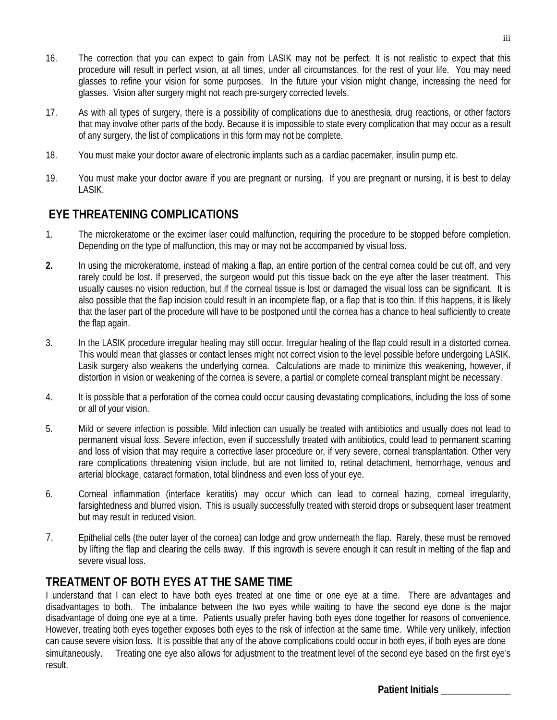- 16. The correction that you can expect to gain from LASIK may not be perfect. It is not realistic to expect that this procedure will result in perfect vision, at all times, under all circumstances, for the rest of your life. You may need glasses to refine your vision for some purposes. In the future your vision might change, increasing the need for glasses. Vision after surgery might not reach pre-surgery corrected levels.
- 17. As with all types of surgery, there is a possibility of complications due to anesthesia, drug reactions, or other factors that may involve other parts of the body. Because it is impossible to state every complication that may occur as a result of any surgery, the list of complications in this form may not be complete.
- 18. You must make your doctor aware of electronic implants such as a cardiac pacemaker, insulin pump etc.
- 19. You must make your doctor aware if you are pregnant or nursing. If you are pregnant or nursing, it is best to delay LASIK.

# **EYE THREATENING COMPLICATIONS**

- 1. The microkeratome or the excimer laser could malfunction, requiring the procedure to be stopped before completion. Depending on the type of malfunction, this may or may not be accompanied by visual loss.
- **2.** In using the microkeratome, instead of making a flap, an entire portion of the central cornea could be cut off, and very rarely could be lost. If preserved, the surgeon would put this tissue back on the eye after the laser treatment. This usually causes no vision reduction, but if the corneal tissue is lost or damaged the visual loss can be significant. It is also possible that the flap incision could result in an incomplete flap, or a flap that is too thin. If this happens, it is likely that the laser part of the procedure will have to be postponed until the cornea has a chance to heal sufficiently to create the flap again.
- 3. In the LASIK procedure irregular healing may still occur. Irregular healing of the flap could result in a distorted cornea. This would mean that glasses or contact lenses might not correct vision to the level possible before undergoing LASIK. Lasik surgery also weakens the underlying cornea. Calculations are made to minimize this weakening, however, if distortion in vision or weakening of the cornea is severe, a partial or complete corneal transplant might be necessary.
- 4. It is possible that a perforation of the cornea could occur causing devastating complications, including the loss of some or all of your vision.
- 5. Mild or severe infection is possible. Mild infection can usually be treated with antibiotics and usually does not lead to permanent visual loss. Severe infection, even if successfully treated with antibiotics, could lead to permanent scarring and loss of vision that may require a corrective laser procedure or, if very severe, corneal transplantation. Other very rare complications threatening vision include, but are not limited to, retinal detachment, hemorrhage, venous and arterial blockage, cataract formation, total blindness and even loss of your eye.
- 6. Corneal inflammation (interface keratitis) may occur which can lead to corneal hazing, corneal irregularity, farsightedness and blurred vision. This is usually successfully treated with steroid drops or subsequent laser treatment but may result in reduced vision.
- 7. Epithelial cells (the outer layer of the cornea) can lodge and grow underneath the flap. Rarely, these must be removed by lifting the flap and clearing the cells away. If this ingrowth is severe enough it can result in melting of the flap and severe visual loss.

# **TREATMENT OF BOTH EYES AT THE SAME TIME**

I understand that I can elect to have both eyes treated at one time or one eye at a time. There are advantages and disadvantages to both. The imbalance between the two eyes while waiting to have the second eye done is the major disadvantage of doing one eye at a time. Patients usually prefer having both eyes done together for reasons of convenience. However, treating both eyes together exposes both eyes to the risk of infection at the same time. While very unlikely, infection can cause severe vision loss. It is possible that any of the above complications could occur in both eyes, if both eyes are done simultaneously. Treating one eye also allows for adjustment to the treatment level of the second eye based on the first eye's result.